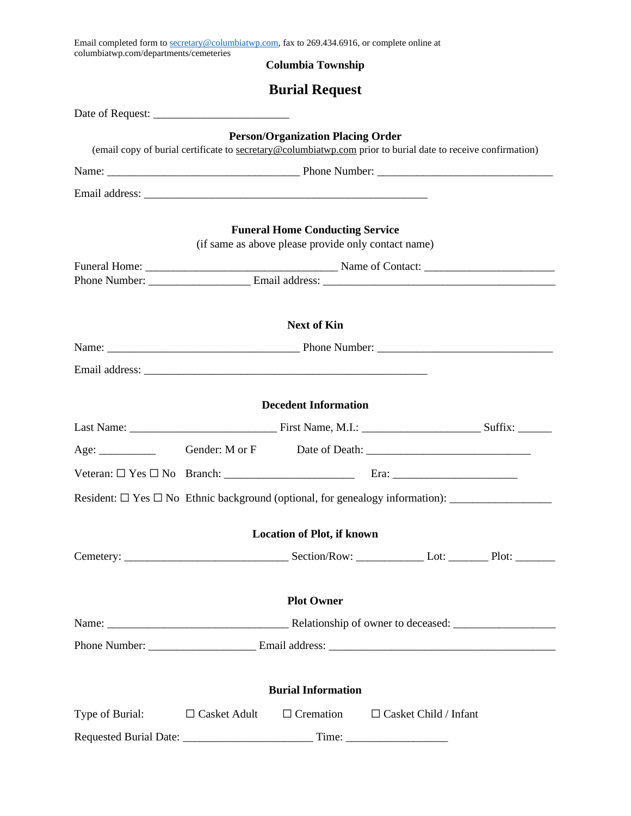| Email completed form to secretary@columbiatwp.com, fax to 269.434.6916, or complete online at<br>columbiatwp.com/departments/cemeteries |  |                                                                                               |                                                                                                              |  |  |
|-----------------------------------------------------------------------------------------------------------------------------------------|--|-----------------------------------------------------------------------------------------------|--------------------------------------------------------------------------------------------------------------|--|--|
|                                                                                                                                         |  | <b>Columbia Township</b>                                                                      |                                                                                                              |  |  |
|                                                                                                                                         |  | <b>Burial Request</b>                                                                         |                                                                                                              |  |  |
|                                                                                                                                         |  |                                                                                               |                                                                                                              |  |  |
|                                                                                                                                         |  | <b>Person/Organization Placing Order</b>                                                      | (email copy of burial certificate to secretary@columbiatwp.com prior to burial date to receive confirmation) |  |  |
|                                                                                                                                         |  |                                                                                               |                                                                                                              |  |  |
|                                                                                                                                         |  |                                                                                               |                                                                                                              |  |  |
|                                                                                                                                         |  | <b>Funeral Home Conducting Service</b><br>(if same as above please provide only contact name) |                                                                                                              |  |  |
|                                                                                                                                         |  |                                                                                               |                                                                                                              |  |  |
|                                                                                                                                         |  |                                                                                               |                                                                                                              |  |  |
|                                                                                                                                         |  | <b>Next of Kin</b>                                                                            |                                                                                                              |  |  |
|                                                                                                                                         |  |                                                                                               |                                                                                                              |  |  |
|                                                                                                                                         |  |                                                                                               |                                                                                                              |  |  |
|                                                                                                                                         |  |                                                                                               |                                                                                                              |  |  |
|                                                                                                                                         |  | <b>Decedent Information</b>                                                                   |                                                                                                              |  |  |
|                                                                                                                                         |  |                                                                                               |                                                                                                              |  |  |
|                                                                                                                                         |  |                                                                                               |                                                                                                              |  |  |
|                                                                                                                                         |  |                                                                                               |                                                                                                              |  |  |
| Resident: $\Box$ Yes $\Box$ No Ethnic background (optional, for genealogy information):                                                 |  |                                                                                               |                                                                                                              |  |  |
|                                                                                                                                         |  | <b>Location of Plot, if known</b>                                                             |                                                                                                              |  |  |
|                                                                                                                                         |  |                                                                                               |                                                                                                              |  |  |
|                                                                                                                                         |  |                                                                                               |                                                                                                              |  |  |
|                                                                                                                                         |  | <b>Plot Owner</b>                                                                             |                                                                                                              |  |  |
|                                                                                                                                         |  |                                                                                               |                                                                                                              |  |  |
|                                                                                                                                         |  |                                                                                               |                                                                                                              |  |  |
|                                                                                                                                         |  |                                                                                               |                                                                                                              |  |  |
|                                                                                                                                         |  | <b>Burial Information</b>                                                                     |                                                                                                              |  |  |
| Type of Burial: $\Box$ Casket Adult                                                                                                     |  | $\Box$ Cremation                                                                              | $\Box$ Casket Child / Infant                                                                                 |  |  |
|                                                                                                                                         |  |                                                                                               |                                                                                                              |  |  |